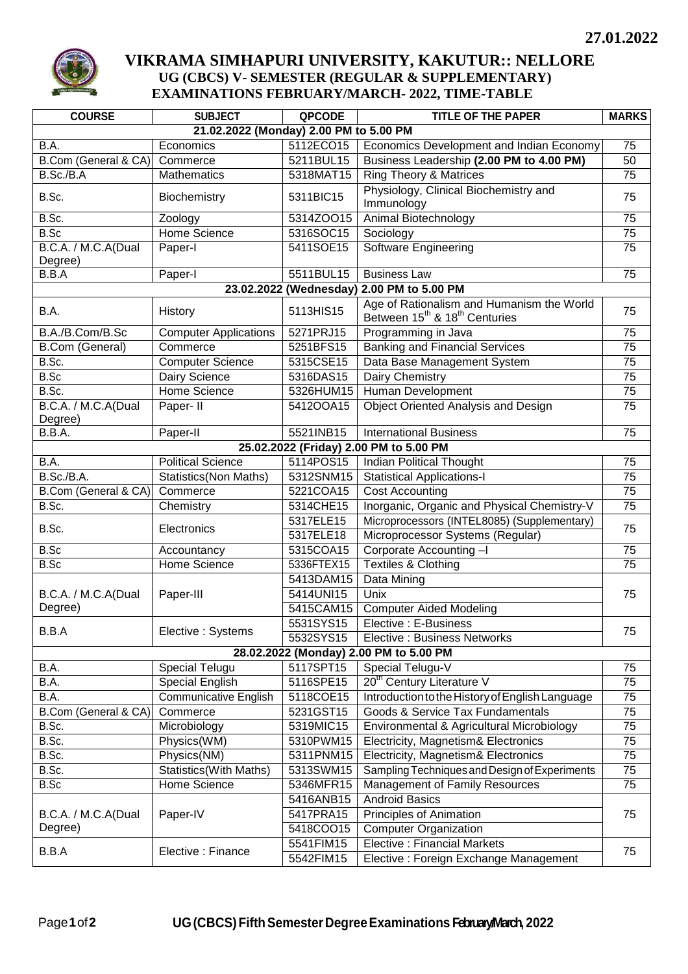

## **VIKRAMA SIMHAPURI UNIVERSITY, KAKUTUR:: NELLORE UG (CBCS) V- SEMESTER (REGULAR & SUPPLEMENTARY) EXAMINATIONS FEBRUARY/MARCH- 2022, TIME-TABLE**

| <b>COURSE</b>                                | <b>SUBJECT</b>               | <b>QPCODE</b> | <b>TITLE OF THE PAPER</b>                                                                          | <b>MARKS</b>    |  |  |  |
|----------------------------------------------|------------------------------|---------------|----------------------------------------------------------------------------------------------------|-----------------|--|--|--|
| 21.02.2022 (Monday) 2.00 PM to 5.00 PM       |                              |               |                                                                                                    |                 |  |  |  |
| B.A.                                         | Economics                    | 5112ECO15     | Economics Development and Indian Economy                                                           | 75              |  |  |  |
| B.Com (General & CA)                         | Commerce                     | 5211BUL15     | Business Leadership (2.00 PM to 4.00 PM)                                                           | 50              |  |  |  |
| B.Sc./B.A                                    | Mathematics                  | 5318MAT15     | <b>Ring Theory &amp; Matrices</b>                                                                  | 75              |  |  |  |
|                                              |                              |               | Physiology, Clinical Biochemistry and                                                              |                 |  |  |  |
| B.Sc.                                        | Biochemistry                 | 5311BIC15     | Immunology                                                                                         | 75              |  |  |  |
| B.Sc.                                        | Zoology                      | 5314ZOO15     | Animal Biotechnology                                                                               | 75              |  |  |  |
| B.Sc                                         | <b>Home Science</b>          | 5316SOC15     | Sociology                                                                                          | 75              |  |  |  |
| B.C.A. / M.C.A(Dual                          | Paper-I                      | 5411SOE15     | <b>Software Engineering</b>                                                                        | 75              |  |  |  |
| Degree)                                      |                              |               |                                                                                                    |                 |  |  |  |
| B.B.A                                        | Paper-I                      | 5511BUL15     | <b>Business Law</b>                                                                                | 75              |  |  |  |
| 2.00 PM to 5.00 PM<br>23.02.2022 (Wednesday) |                              |               |                                                                                                    |                 |  |  |  |
| B.A.                                         | History                      | 5113HIS15     | Age of Rationalism and Humanism the World<br>Between 15 <sup>th</sup> & 18 <sup>th</sup> Centuries | 75              |  |  |  |
| B.A./B.Com/B.Sc                              | <b>Computer Applications</b> | 5271PRJ15     | Programming in Java                                                                                | 75              |  |  |  |
| <b>B.Com (General)</b>                       | Commerce                     | 5251BFS15     | <b>Banking and Financial Services</b>                                                              | 75              |  |  |  |
| B.Sc.                                        | <b>Computer Science</b>      | 5315CSE15     | Data Base Management System                                                                        | 75              |  |  |  |
| B.Sc                                         | Dairy Science                | 5316DAS15     | Dairy Chemistry                                                                                    | 75              |  |  |  |
| B.Sc.                                        | Home Science                 | 5326HUM15     | Human Development                                                                                  | 75              |  |  |  |
| B.C.A. / M.C.A(Dual                          | Paper- II                    | 5412OOA15     | <b>Object Oriented Analysis and Design</b>                                                         | 75              |  |  |  |
| Degree)                                      |                              |               |                                                                                                    |                 |  |  |  |
| B.B.A.                                       | Paper-II                     | 5521INB15     | <b>International Business</b>                                                                      | 75              |  |  |  |
| 25.02.2022 (Friday) 2.00 PM to 5.00 PM       |                              |               |                                                                                                    |                 |  |  |  |
| B.A.                                         | <b>Political Science</b>     | 5114POS15     | <b>Indian Political Thought</b>                                                                    | 75              |  |  |  |
| B.Sc./B.A.                                   | <b>Statistics(Non Maths)</b> | 5312SNM15     | <b>Statistical Applications-I</b>                                                                  | $\overline{75}$ |  |  |  |
| B.Com (General & CA)                         | Commerce                     | 5221COA15     | <b>Cost Accounting</b>                                                                             | $\overline{75}$ |  |  |  |
| B.Sc.                                        | Chemistry                    | 5314CHE15     | Inorganic, Organic and Physical Chemistry-V                                                        | $\overline{75}$ |  |  |  |
| B.Sc.                                        | Electronics                  | 5317ELE15     | Microprocessors (INTEL8085) (Supplementary)                                                        | 75              |  |  |  |
|                                              |                              | 5317ELE18     | Microprocessor Systems (Regular)                                                                   |                 |  |  |  |
| B.Sc                                         | Accountancy                  | 5315COA15     | Corporate Accounting-I                                                                             | 75              |  |  |  |
| B.Sc                                         | Home Science                 | 5336FTEX15    | <b>Textiles &amp; Clothing</b>                                                                     | $\overline{75}$ |  |  |  |
|                                              | Paper-III                    | 5413DAM15     | Data Mining                                                                                        | 75              |  |  |  |
| B.C.A. / M.C.A(Dual<br>Degree)               |                              | 5414UNI15     | Unix                                                                                               |                 |  |  |  |
|                                              |                              | 5415CAM15     | <b>Computer Aided Modeling</b>                                                                     |                 |  |  |  |
| B.B.A                                        | Elective: Systems            | 5531SYS15     | Elective: E-Business                                                                               | 75              |  |  |  |
|                                              |                              | 5532SYS15     | <b>Elective: Business Networks</b>                                                                 |                 |  |  |  |
| 28.02.2022 (Monday) 2.00 PM to 5.00 PM       |                              |               |                                                                                                    |                 |  |  |  |
| B.A.                                         | <b>Special Telugu</b>        | 5117SPT15     | Special Telugu-V                                                                                   | 75              |  |  |  |
| B.A.                                         | <b>Special English</b>       | 5116SPE15     | 20 <sup>th</sup> Century Literature V                                                              | 75              |  |  |  |
| B.A.                                         | <b>Communicative English</b> | 5118COE15     | Introduction to the History of English Language                                                    | $\overline{75}$ |  |  |  |
| B.Com (General & CA)                         | Commerce                     | 5231GST15     | Goods & Service Tax Fundamentals                                                                   | 75              |  |  |  |
| B.Sc.                                        | Microbiology                 | 5319MIC15     | Environmental & Agricultural Microbiology                                                          | 75              |  |  |  |
| B.Sc.                                        | Physics(WM)                  | 5310PWM15     | Electricity, Magnetism& Electronics                                                                | 75              |  |  |  |
| B.Sc.                                        | Physics(NM)                  | 5311PNM15     | Electricity, Magnetism& Electronics                                                                | 75              |  |  |  |
| B.Sc.                                        | Statistics(With Maths)       | 5313SWM15     | Sampling Techniques and Design of Experiments                                                      | 75              |  |  |  |
| B.Sc                                         | Home Science                 | 5346MFR15     | Management of Family Resources                                                                     | 75              |  |  |  |
| B.C.A. / M.C.A(Dual<br>Degree)               | Paper-IV                     | 5416ANB15     | <b>Android Basics</b>                                                                              | 75              |  |  |  |
|                                              |                              | 5417PRA15     | Principles of Animation                                                                            |                 |  |  |  |
|                                              |                              | 5418COO15     | <b>Computer Organization</b>                                                                       |                 |  |  |  |
| B.B.A                                        | Elective : Finance           | 5541FIM15     | <b>Elective: Financial Markets</b>                                                                 | 75              |  |  |  |
|                                              |                              | 5542FIM15     | Elective : Foreign Exchange Management                                                             |                 |  |  |  |